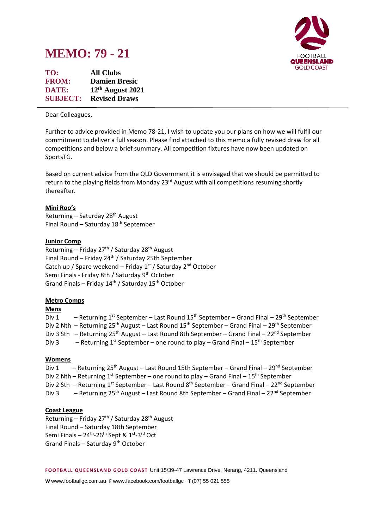

# **MEMO: 79 - 21**

**TO: All Clubs FROM: Damien Bresic DATE: 12th August 2021 SUBJECT: Revised Draws**

Dear Colleagues,

Further to advice provided in Memo 78-21, I wish to update you our plans on how we will fulfil our commitment to deliver a full season. Please find attached to this memo a fully revised draw for all competitions and below a brief summary. All competition fixtures have now been updated on SportsTG.

Based on current advice from the QLD Government it is envisaged that we should be permitted to return to the playing fields from Monday 23<sup>rd</sup> August with all competitions resuming shortly thereafter.

# **Mini Roo's**

Returning – Saturday 28<sup>th</sup> August Final Round – Saturday  $18<sup>th</sup>$  September

## **Junior Comp**

Returning – Friday 27<sup>th</sup> / Saturday 28<sup>th</sup> August Final Round – Friday 24th / Saturday 25th September Catch up / Spare weekend - Friday 1<sup>st</sup> / Saturday 2<sup>nd</sup> October Semi Finals - Friday 8th / Saturday 9<sup>th</sup> October Grand Finals – Friday  $14<sup>th</sup>$  / Saturday  $15<sup>th</sup>$  October

# **Metro Comps**

# **Mens**

Div 1 - Returning 1<sup>st</sup> September - Last Round 15<sup>th</sup> September - Grand Final - 29<sup>th</sup> September Div 2 Nth - Returning 25<sup>th</sup> August - Last Round 15<sup>th</sup> September - Grand Final - 29<sup>th</sup> September Div 3 Sth - Returning 25<sup>th</sup> August - Last Round 8th September - Grand Final - 22<sup>nd</sup> September Div 3  $-$  Returning 1<sup>st</sup> September – one round to play – Grand Final – 15<sup>th</sup> September

## **Womens**

Div 1 - Returning 25<sup>th</sup> August - Last Round 15th September - Grand Final - 29<sup>nd</sup> September Div 2 Nth – Returning 1<sup>st</sup> September – one round to play – Grand Final – 15<sup>th</sup> September Div 2 Sth - Returning 1<sup>st</sup> September - Last Round 8<sup>th</sup> September - Grand Final - 22<sup>nd</sup> September Div 3 - - Returning 25<sup>th</sup> August - Last Round 8th September - Grand Final - 22<sup>nd</sup> September

## **Coast League**

Returning – Friday 27<sup>th</sup> / Saturday 28<sup>th</sup> August Final Round – Saturday 18th September Semi Finals – 24<sup>th</sup>-26<sup>th</sup> Sept & 1<sup>st</sup>-3<sup>rd</sup> Oct Grand Finals - Saturday 9<sup>th</sup> October

**FOOTB ALL QUEEN SLAND G OLD COAST** Unit 15/39-47 Lawrence Drive, Nerang, 4211. Queensland

**W** www.footballgc.com.au. **F** www.facebook.com/footballgc . **T** (07) 55 021 555